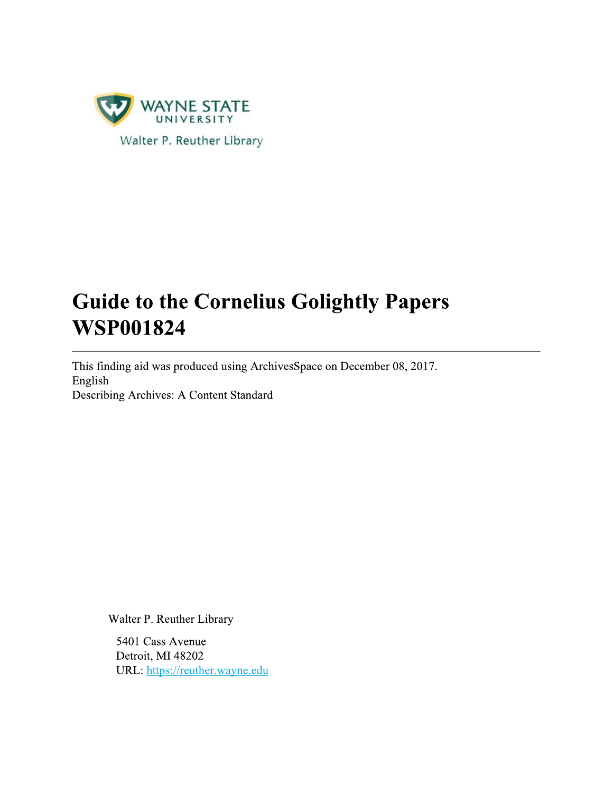

# **Guide to the Cornelius Golightly Papers WSP001824**

This finding aid was produced using ArchivesSpace on December 08, 2017. English Describing Archives: A Content Standard

Walter P. Reuther Library

5401 Cass Avenue Detroit, MI 48202 URL: https://reuther.wayne.edu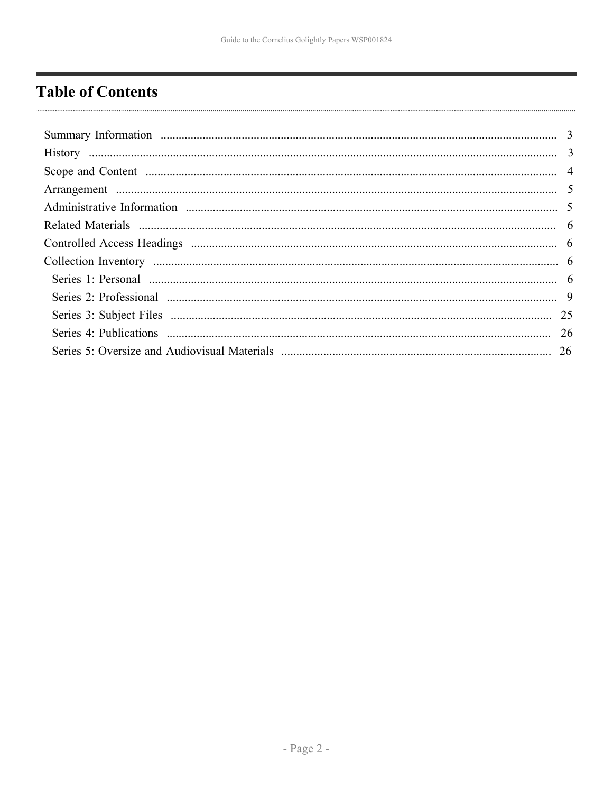# <span id="page-1-0"></span>**Table of Contents**

| 26 |
|----|
|    |
|    |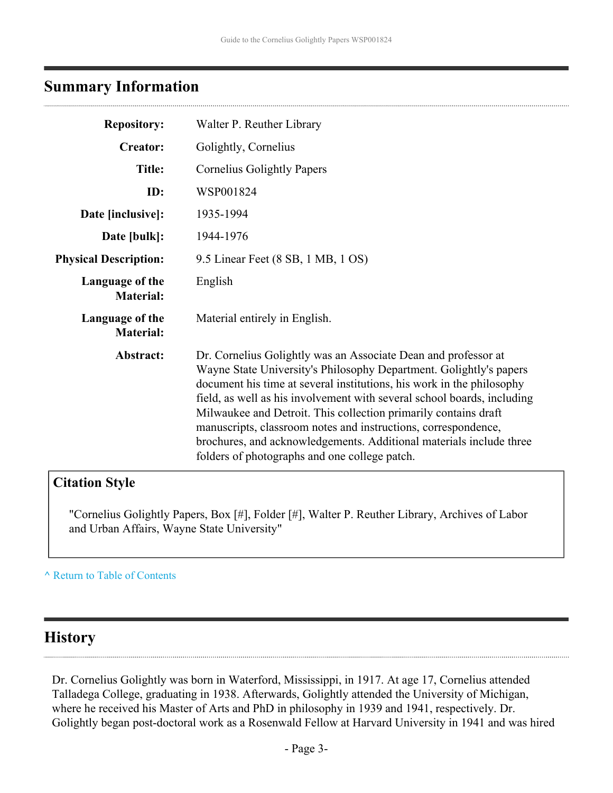# <span id="page-2-0"></span>**Summary Information**

| <b>Repository:</b>                  | Walter P. Reuther Library                                                                                                                                                                                                                                                                                                                                                                                                                                                                                                                             |
|-------------------------------------|-------------------------------------------------------------------------------------------------------------------------------------------------------------------------------------------------------------------------------------------------------------------------------------------------------------------------------------------------------------------------------------------------------------------------------------------------------------------------------------------------------------------------------------------------------|
| <b>Creator:</b>                     | Golightly, Cornelius                                                                                                                                                                                                                                                                                                                                                                                                                                                                                                                                  |
| <b>Title:</b>                       | <b>Cornelius Golightly Papers</b>                                                                                                                                                                                                                                                                                                                                                                                                                                                                                                                     |
| ID:                                 | WSP001824                                                                                                                                                                                                                                                                                                                                                                                                                                                                                                                                             |
| Date [inclusive]:                   | 1935-1994                                                                                                                                                                                                                                                                                                                                                                                                                                                                                                                                             |
| Date [bulk]:                        | 1944-1976                                                                                                                                                                                                                                                                                                                                                                                                                                                                                                                                             |
| <b>Physical Description:</b>        | 9.5 Linear Feet (8 SB, 1 MB, 1 OS)                                                                                                                                                                                                                                                                                                                                                                                                                                                                                                                    |
| Language of the<br><b>Material:</b> | English                                                                                                                                                                                                                                                                                                                                                                                                                                                                                                                                               |
| Language of the<br><b>Material:</b> | Material entirely in English.                                                                                                                                                                                                                                                                                                                                                                                                                                                                                                                         |
| Abstract:                           | Dr. Cornelius Golightly was an Associate Dean and professor at<br>Wayne State University's Philosophy Department. Golightly's papers<br>document his time at several institutions, his work in the philosophy<br>field, as well as his involvement with several school boards, including<br>Milwaukee and Detroit. This collection primarily contains draft<br>manuscripts, classroom notes and instructions, correspondence,<br>brochures, and acknowledgements. Additional materials include three<br>folders of photographs and one college patch. |

# **Citation Style**

"Cornelius Golightly Papers, Box [#], Folder [#], Walter P. Reuther Library, Archives of Labor and Urban Affairs, Wayne State University"

### **^** [Return to Table of Contents](#page-1-0)

# <span id="page-2-1"></span>**History**

Dr. Cornelius Golightly was born in Waterford, Mississippi, in 1917. At age 17, Cornelius attended Talladega College, graduating in 1938. Afterwards, Golightly attended the University of Michigan, where he received his Master of Arts and PhD in philosophy in 1939 and 1941, respectively. Dr. Golightly began post-doctoral work as a Rosenwald Fellow at Harvard University in 1941 and was hired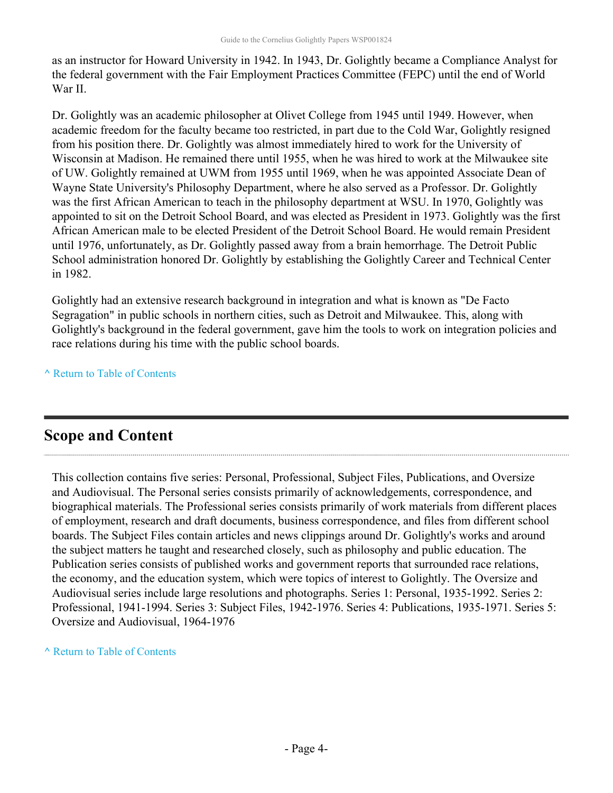as an instructor for Howard University in 1942. In 1943, Dr. Golightly became a Compliance Analyst for the federal government with the Fair Employment Practices Committee (FEPC) until the end of World War II.

Dr. Golightly was an academic philosopher at Olivet College from 1945 until 1949. However, when academic freedom for the faculty became too restricted, in part due to the Cold War, Golightly resigned from his position there. Dr. Golightly was almost immediately hired to work for the University of Wisconsin at Madison. He remained there until 1955, when he was hired to work at the Milwaukee site of UW. Golightly remained at UWM from 1955 until 1969, when he was appointed Associate Dean of Wayne State University's Philosophy Department, where he also served as a Professor. Dr. Golightly was the first African American to teach in the philosophy department at WSU. In 1970, Golightly was appointed to sit on the Detroit School Board, and was elected as President in 1973. Golightly was the first African American male to be elected President of the Detroit School Board. He would remain President until 1976, unfortunately, as Dr. Golightly passed away from a brain hemorrhage. The Detroit Public School administration honored Dr. Golightly by establishing the Golightly Career and Technical Center in 1982.

Golightly had an extensive research background in integration and what is known as "De Facto Segragation" in public schools in northern cities, such as Detroit and Milwaukee. This, along with Golightly's background in the federal government, gave him the tools to work on integration policies and race relations during his time with the public school boards.

**^** [Return to Table of Contents](#page-1-0)

# <span id="page-3-0"></span>**Scope and Content**

This collection contains five series: Personal, Professional, Subject Files, Publications, and Oversize and Audiovisual. The Personal series consists primarily of acknowledgements, correspondence, and biographical materials. The Professional series consists primarily of work materials from different places of employment, research and draft documents, business correspondence, and files from different school boards. The Subject Files contain articles and news clippings around Dr. Golightly's works and around the subject matters he taught and researched closely, such as philosophy and public education. The Publication series consists of published works and government reports that surrounded race relations, the economy, and the education system, which were topics of interest to Golightly. The Oversize and Audiovisual series include large resolutions and photographs. Series 1: Personal, 1935-1992. Series 2: Professional, 1941-1994. Series 3: Subject Files, 1942-1976. Series 4: Publications, 1935-1971. Series 5: Oversize and Audiovisual, 1964-1976

**^** [Return to Table of Contents](#page-1-0)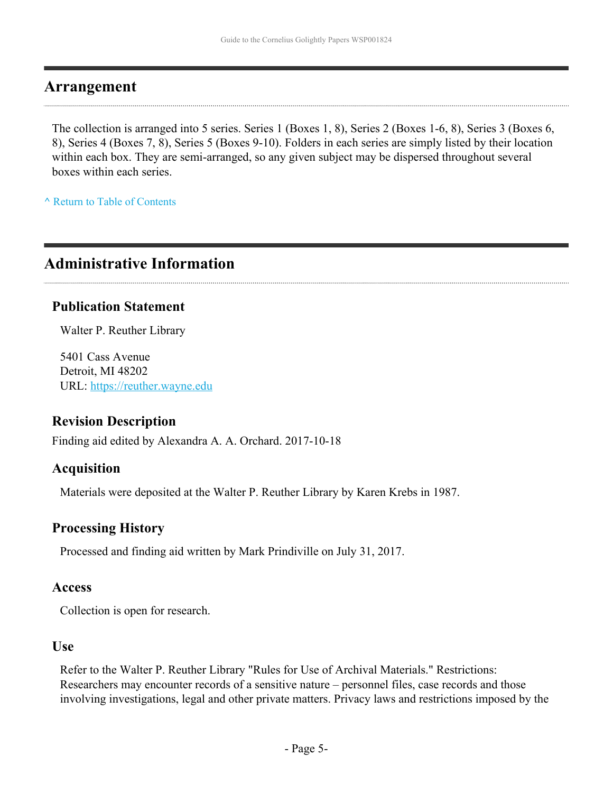### <span id="page-4-0"></span>**Arrangement**

The collection is arranged into 5 series. Series 1 (Boxes 1, 8), Series 2 (Boxes 1-6, 8), Series 3 (Boxes 6, 8), Series 4 (Boxes 7, 8), Series 5 (Boxes 9-10). Folders in each series are simply listed by their location within each box. They are semi-arranged, so any given subject may be dispersed throughout several boxes within each series.

**^** [Return to Table of Contents](#page-1-0)

# <span id="page-4-1"></span>**Administrative Information**

### **Publication Statement**

Walter P. Reuther Library

5401 Cass Avenue Detroit, MI 48202 URL:<https://reuther.wayne.edu>

### **Revision Description**

Finding aid edited by Alexandra A. A. Orchard. 2017-10-18

### **Acquisition**

Materials were deposited at the Walter P. Reuther Library by Karen Krebs in 1987.

### **Processing History**

Processed and finding aid written by Mark Prindiville on July 31, 2017.

### **Access**

Collection is open for research.

### **Use**

Refer to the Walter P. Reuther Library "Rules for Use of Archival Materials." Restrictions: Researchers may encounter records of a sensitive nature – personnel files, case records and those involving investigations, legal and other private matters. Privacy laws and restrictions imposed by the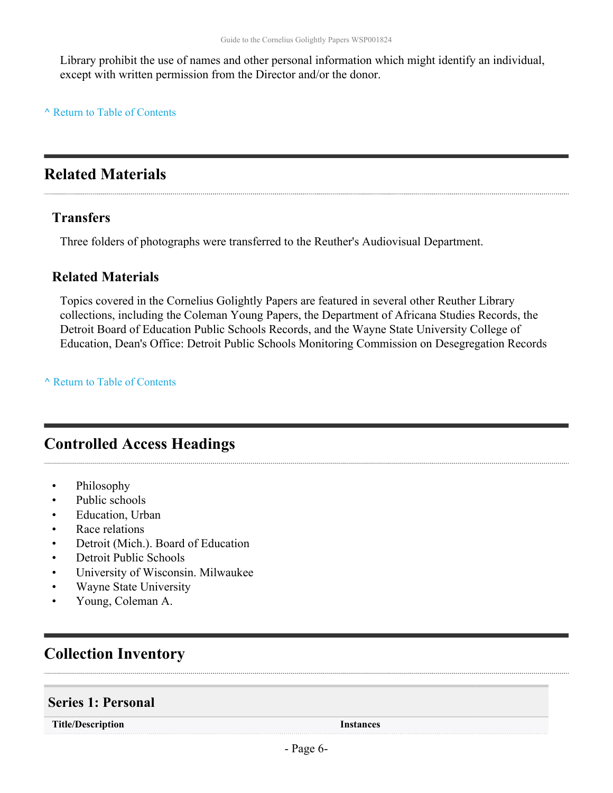Library prohibit the use of names and other personal information which might identify an individual, except with written permission from the Director and/or the donor.

#### **^** [Return to Table of Contents](#page-1-0)

# <span id="page-5-0"></span>**Related Materials**

### **Transfers**

Three folders of photographs were transferred to the Reuther's Audiovisual Department.

### **Related Materials**

Topics covered in the Cornelius Golightly Papers are featured in several other Reuther Library collections, including the Coleman Young Papers, the Department of Africana Studies Records, the Detroit Board of Education Public Schools Records, and the Wayne State University College of Education, Dean's Office: Detroit Public Schools Monitoring Commission on Desegregation Records

**^** [Return to Table of Contents](#page-1-0)

# <span id="page-5-1"></span>**Controlled Access Headings**

- Philosophy
- Public schools
- Education, Urban
- Race relations
- Detroit (Mich.). Board of Education
- Detroit Public Schools
- University of Wisconsin. Milwaukee
- Wayne State University
- Young, Coleman A.

# <span id="page-5-2"></span>**Collection Inventory**

### <span id="page-5-3"></span>**Series 1: Personal**

**Title/Description Instances**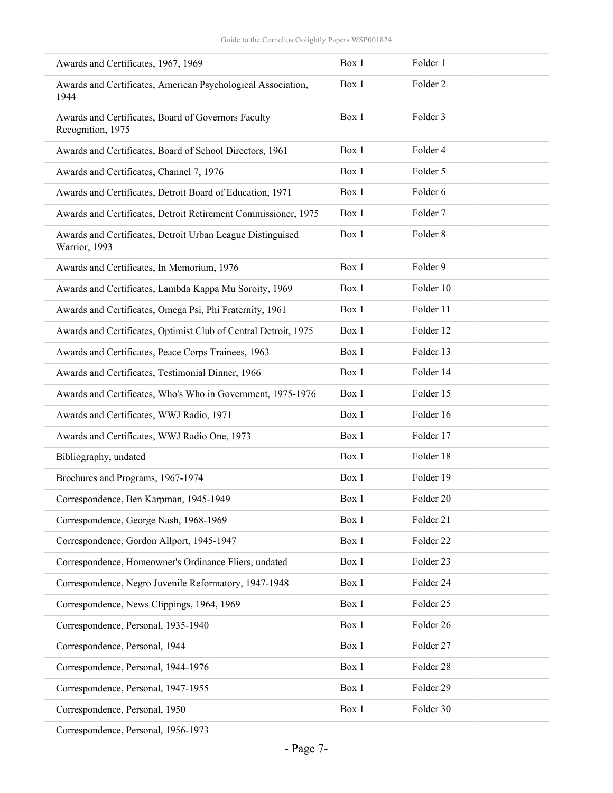| Awards and Certificates, 1967, 1969                                         | Box 1 | Folder 1            |
|-----------------------------------------------------------------------------|-------|---------------------|
| Awards and Certificates, American Psychological Association,<br>1944        | Box 1 | Folder <sub>2</sub> |
| Awards and Certificates, Board of Governors Faculty<br>Recognition, 1975    | Box 1 | Folder 3            |
| Awards and Certificates, Board of School Directors, 1961                    | Box 1 | Folder 4            |
| Awards and Certificates, Channel 7, 1976                                    | Box 1 | Folder 5            |
| Awards and Certificates, Detroit Board of Education, 1971                   | Box 1 | Folder 6            |
| Awards and Certificates, Detroit Retirement Commissioner, 1975              | Box 1 | Folder 7            |
| Awards and Certificates, Detroit Urban League Distinguised<br>Warrior, 1993 | Box 1 | Folder 8            |
| Awards and Certificates, In Memorium, 1976                                  | Box 1 | Folder 9            |
| Awards and Certificates, Lambda Kappa Mu Soroity, 1969                      | Box 1 | Folder 10           |
| Awards and Certificates, Omega Psi, Phi Fraternity, 1961                    | Box 1 | Folder 11           |
| Awards and Certificates, Optimist Club of Central Detroit, 1975             | Box 1 | Folder 12           |
| Awards and Certificates, Peace Corps Trainees, 1963                         | Box 1 | Folder 13           |
| Awards and Certificates, Testimonial Dinner, 1966                           | Box 1 | Folder 14           |
| Awards and Certificates, Who's Who in Government, 1975-1976                 | Box 1 | Folder 15           |
| Awards and Certificates, WWJ Radio, 1971                                    | Box 1 | Folder 16           |
| Awards and Certificates, WWJ Radio One, 1973                                | Box 1 | Folder 17           |
| Bibliography, undated                                                       | Box 1 | Folder 18           |
| Brochures and Programs, 1967-1974                                           | Box 1 | Folder 19           |
| Correspondence, Ben Karpman, 1945-1949                                      | Box 1 | Folder 20           |
| Correspondence, George Nash, 1968-1969                                      | Box 1 | Folder 21           |
| Correspondence, Gordon Allport, 1945-1947                                   | Box 1 | Folder 22           |
| Correspondence, Homeowner's Ordinance Fliers, undated                       | Box 1 | Folder 23           |
| Correspondence, Negro Juvenile Reformatory, 1947-1948                       | Box 1 | Folder 24           |
| Correspondence, News Clippings, 1964, 1969                                  | Box 1 | Folder 25           |
| Correspondence, Personal, 1935-1940                                         | Box 1 | Folder 26           |
| Correspondence, Personal, 1944                                              | Box 1 | Folder 27           |
| Correspondence, Personal, 1944-1976                                         | Box 1 | Folder 28           |
| Correspondence, Personal, 1947-1955                                         | Box 1 | Folder 29           |
| Correspondence, Personal, 1950                                              | Box 1 | Folder 30           |

Correspondence, Personal, 1956-1973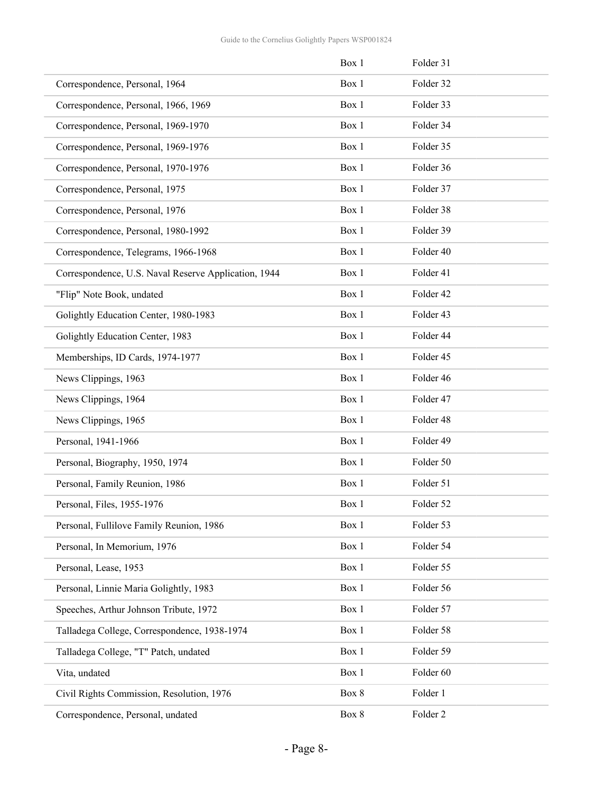|                                                      | Box 1 | Folder 31 |
|------------------------------------------------------|-------|-----------|
| Correspondence, Personal, 1964                       | Box 1 | Folder 32 |
| Correspondence, Personal, 1966, 1969                 | Box 1 | Folder 33 |
| Correspondence, Personal, 1969-1970                  | Box 1 | Folder 34 |
| Correspondence, Personal, 1969-1976                  | Box 1 | Folder 35 |
| Correspondence, Personal, 1970-1976                  | Box 1 | Folder 36 |
| Correspondence, Personal, 1975                       | Box 1 | Folder 37 |
| Correspondence, Personal, 1976                       | Box 1 | Folder 38 |
| Correspondence, Personal, 1980-1992                  | Box 1 | Folder 39 |
| Correspondence, Telegrams, 1966-1968                 | Box 1 | Folder 40 |
| Correspondence, U.S. Naval Reserve Application, 1944 | Box 1 | Folder 41 |
| "Flip" Note Book, undated                            | Box 1 | Folder 42 |
| Golightly Education Center, 1980-1983                | Box 1 | Folder 43 |
| Golightly Education Center, 1983                     | Box 1 | Folder 44 |
| Memberships, ID Cards, 1974-1977                     | Box 1 | Folder 45 |
| News Clippings, 1963                                 | Box 1 | Folder 46 |
| News Clippings, 1964                                 | Box 1 | Folder 47 |
| News Clippings, 1965                                 | Box 1 | Folder 48 |
| Personal, 1941-1966                                  | Box 1 | Folder 49 |
| Personal, Biography, 1950, 1974                      | Box 1 | Folder 50 |
| Personal, Family Reunion, 1986                       | Box 1 | Folder 51 |
| Personal, Files, 1955-1976                           | Box 1 | Folder 52 |
| Personal, Fullilove Family Reunion, 1986             | Box 1 | Folder 53 |
| Personal, In Memorium, 1976                          | Box 1 | Folder 54 |
| Personal, Lease, 1953                                | Box 1 | Folder 55 |
| Personal, Linnie Maria Golightly, 1983               | Box 1 | Folder 56 |
| Speeches, Arthur Johnson Tribute, 1972               | Box 1 | Folder 57 |
| Talladega College, Correspondence, 1938-1974         | Box 1 | Folder 58 |
| Talladega College, "T" Patch, undated                | Box 1 | Folder 59 |
| Vita, undated                                        | Box 1 | Folder 60 |
| Civil Rights Commission, Resolution, 1976            | Box 8 | Folder 1  |
| Correspondence, Personal, undated                    | Box 8 | Folder 2  |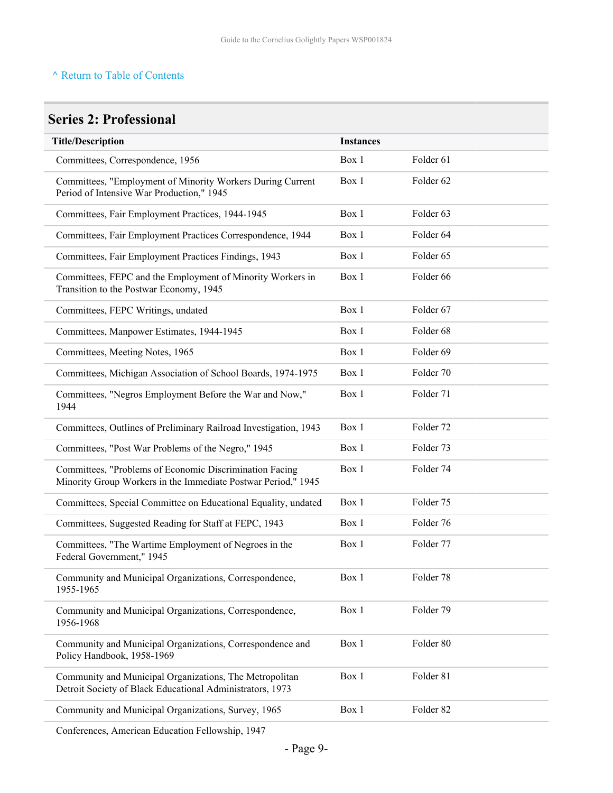# <span id="page-8-0"></span>**Series 2: Professional**

| <b>Title/Description</b>                                                                                                 | <b>Instances</b> |                      |
|--------------------------------------------------------------------------------------------------------------------------|------------------|----------------------|
| Committees, Correspondence, 1956                                                                                         | Box 1            | Folder 61            |
| Committees, "Employment of Minority Workers During Current<br>Period of Intensive War Production," 1945                  | Box 1            | Folder 62            |
| Committees, Fair Employment Practices, 1944-1945                                                                         | Box 1            | Folder <sub>63</sub> |
| Committees, Fair Employment Practices Correspondence, 1944                                                               | Box 1            | Folder 64            |
| Committees, Fair Employment Practices Findings, 1943                                                                     | Box 1            | Folder 65            |
| Committees, FEPC and the Employment of Minority Workers in<br>Transition to the Postwar Economy, 1945                    | Box 1            | Folder 66            |
| Committees, FEPC Writings, undated                                                                                       | Box 1            | Folder 67            |
| Committees, Manpower Estimates, 1944-1945                                                                                | Box 1            | Folder 68            |
| Committees, Meeting Notes, 1965                                                                                          | Box 1            | Folder 69            |
| Committees, Michigan Association of School Boards, 1974-1975                                                             | Box 1            | Folder 70            |
| Committees, "Negros Employment Before the War and Now,"<br>1944                                                          | Box 1            | Folder 71            |
| Committees, Outlines of Preliminary Railroad Investigation, 1943                                                         | Box 1            | Folder 72            |
| Committees, "Post War Problems of the Negro," 1945                                                                       | Box 1            | Folder 73            |
| Committees, "Problems of Economic Discrimination Facing<br>Minority Group Workers in the Immediate Postwar Period," 1945 | Box 1            | Folder 74            |
| Committees, Special Committee on Educational Equality, undated                                                           | Box 1            | Folder 75            |
| Committees, Suggested Reading for Staff at FEPC, 1943                                                                    | Box 1            | Folder 76            |
| Committees, "The Wartime Employment of Negroes in the<br>Federal Government," 1945                                       | Box 1            | Folder 77            |
| Community and Municipal Organizations, Correspondence,<br>1955-1965                                                      | Box 1            | Folder 78            |
| Community and Municipal Organizations, Correspondence,<br>1956-1968                                                      | Box 1            | Folder 79            |
| Community and Municipal Organizations, Correspondence and<br>Policy Handbook, 1958-1969                                  | Box 1            | Folder 80            |
| Community and Municipal Organizations, The Metropolitan<br>Detroit Society of Black Educational Administrators, 1973     | Box 1            | Folder 81            |
| Community and Municipal Organizations, Survey, 1965                                                                      | Box 1            | Folder 82            |

Conferences, American Education Fellowship, 1947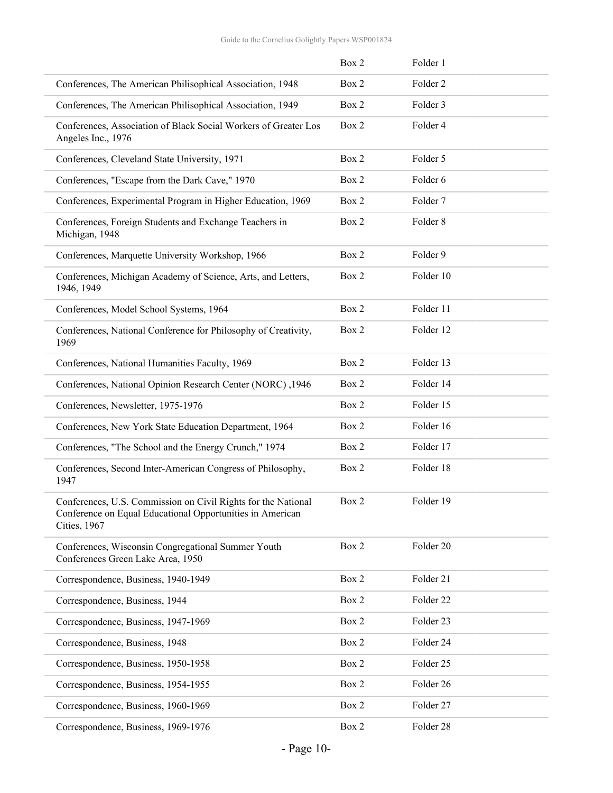|                                                                                                                                                    | Box 2 | Folder 1            |
|----------------------------------------------------------------------------------------------------------------------------------------------------|-------|---------------------|
| Conferences, The American Philisophical Association, 1948                                                                                          | Box 2 | Folder <sub>2</sub> |
| Conferences, The American Philisophical Association, 1949                                                                                          | Box 2 | Folder 3            |
| Conferences, Association of Black Social Workers of Greater Los<br>Angeles Inc., 1976                                                              | Box 2 | Folder 4            |
| Conferences, Cleveland State University, 1971                                                                                                      | Box 2 | Folder 5            |
| Conferences, "Escape from the Dark Cave," 1970                                                                                                     | Box 2 | Folder 6            |
| Conferences, Experimental Program in Higher Education, 1969                                                                                        | Box 2 | Folder <sub>7</sub> |
| Conferences, Foreign Students and Exchange Teachers in<br>Michigan, 1948                                                                           | Box 2 | Folder <sub>8</sub> |
| Conferences, Marquette University Workshop, 1966                                                                                                   | Box 2 | Folder 9            |
| Conferences, Michigan Academy of Science, Arts, and Letters,<br>1946, 1949                                                                         | Box 2 | Folder 10           |
| Conferences, Model School Systems, 1964                                                                                                            | Box 2 | Folder 11           |
| Conferences, National Conference for Philosophy of Creativity,<br>1969                                                                             | Box 2 | Folder 12           |
| Conferences, National Humanities Faculty, 1969                                                                                                     | Box 2 | Folder 13           |
| Conferences, National Opinion Research Center (NORC), 1946                                                                                         | Box 2 | Folder 14           |
| Conferences, Newsletter, 1975-1976                                                                                                                 | Box 2 | Folder 15           |
| Conferences, New York State Education Department, 1964                                                                                             | Box 2 | Folder 16           |
| Conferences, "The School and the Energy Crunch," 1974                                                                                              | Box 2 | Folder 17           |
| Conferences, Second Inter-American Congress of Philosophy,<br>1947                                                                                 | Box 2 | Folder 18           |
| Conferences, U.S. Commission on Civil Rights for the National<br>Conference on Equal Educational Opportunities in American<br><b>Cities</b> , 1967 | Box 2 | Folder 19           |
| Conferences, Wisconsin Congregational Summer Youth<br>Conferences Green Lake Area, 1950                                                            | Box 2 | Folder 20           |
| Correspondence, Business, 1940-1949                                                                                                                | Box 2 | Folder 21           |
| Correspondence, Business, 1944                                                                                                                     | Box 2 | Folder 22           |
| Correspondence, Business, 1947-1969                                                                                                                | Box 2 | Folder 23           |
| Correspondence, Business, 1948                                                                                                                     | Box 2 | Folder 24           |
| Correspondence, Business, 1950-1958                                                                                                                | Box 2 | Folder 25           |
| Correspondence, Business, 1954-1955                                                                                                                | Box 2 | Folder 26           |
| Correspondence, Business, 1960-1969                                                                                                                | Box 2 | Folder 27           |
| Correspondence, Business, 1969-1976                                                                                                                | Box 2 | Folder 28           |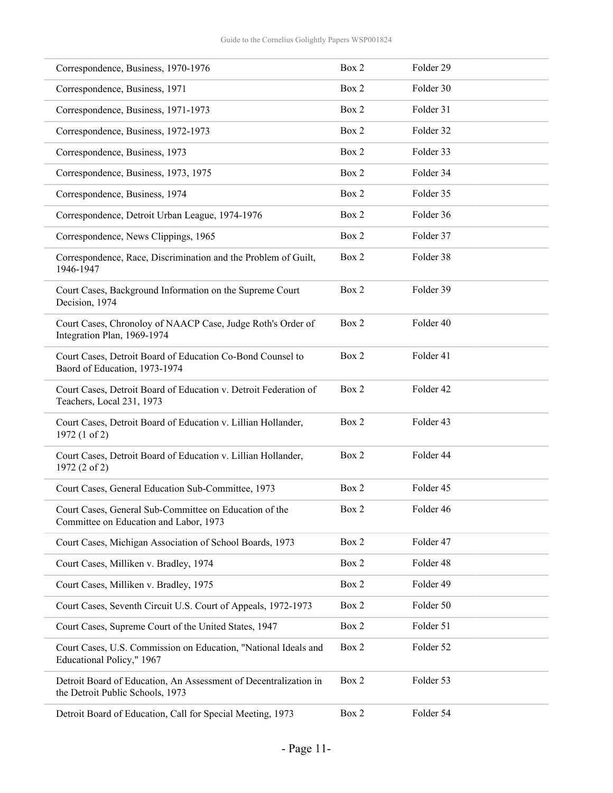| Correspondence, Business, 1970-1976                                                                  | Box 2 | Folder 29 |
|------------------------------------------------------------------------------------------------------|-------|-----------|
| Correspondence, Business, 1971                                                                       | Box 2 | Folder 30 |
| Correspondence, Business, 1971-1973                                                                  | Box 2 | Folder 31 |
| Correspondence, Business, 1972-1973                                                                  | Box 2 | Folder 32 |
| Correspondence, Business, 1973                                                                       | Box 2 | Folder 33 |
| Correspondence, Business, 1973, 1975                                                                 | Box 2 | Folder 34 |
| Correspondence, Business, 1974                                                                       | Box 2 | Folder 35 |
| Correspondence, Detroit Urban League, 1974-1976                                                      | Box 2 | Folder 36 |
| Correspondence, News Clippings, 1965                                                                 | Box 2 | Folder 37 |
| Correspondence, Race, Discrimination and the Problem of Guilt,<br>1946-1947                          | Box 2 | Folder 38 |
| Court Cases, Background Information on the Supreme Court<br>Decision, 1974                           | Box 2 | Folder 39 |
| Court Cases, Chronoloy of NAACP Case, Judge Roth's Order of<br>Integration Plan, 1969-1974           | Box 2 | Folder 40 |
| Court Cases, Detroit Board of Education Co-Bond Counsel to<br>Baord of Education, 1973-1974          | Box 2 | Folder 41 |
| Court Cases, Detroit Board of Education v. Detroit Federation of<br>Teachers, Local 231, 1973        | Box 2 | Folder 42 |
| Court Cases, Detroit Board of Education v. Lillian Hollander,<br>1972 (1 of 2)                       | Box 2 | Folder 43 |
| Court Cases, Detroit Board of Education v. Lillian Hollander,<br>1972 (2 of 2)                       | Box 2 | Folder 44 |
| Court Cases, General Education Sub-Committee, 1973                                                   | Box 2 | Folder 45 |
| Court Cases, General Sub-Committee on Education of the<br>Committee on Education and Labor, 1973     | Box 2 | Folder 46 |
| Court Cases, Michigan Association of School Boards, 1973                                             | Box 2 | Folder 47 |
| Court Cases, Milliken v. Bradley, 1974                                                               | Box 2 | Folder 48 |
| Court Cases, Milliken v. Bradley, 1975                                                               | Box 2 | Folder 49 |
| Court Cases, Seventh Circuit U.S. Court of Appeals, 1972-1973                                        | Box 2 | Folder 50 |
| Court Cases, Supreme Court of the United States, 1947                                                | Box 2 | Folder 51 |
| Court Cases, U.S. Commission on Education, "National Ideals and<br>Educational Policy," 1967         | Box 2 | Folder 52 |
| Detroit Board of Education, An Assessment of Decentralization in<br>the Detroit Public Schools, 1973 | Box 2 | Folder 53 |
| Detroit Board of Education, Call for Special Meeting, 1973                                           | Box 2 | Folder 54 |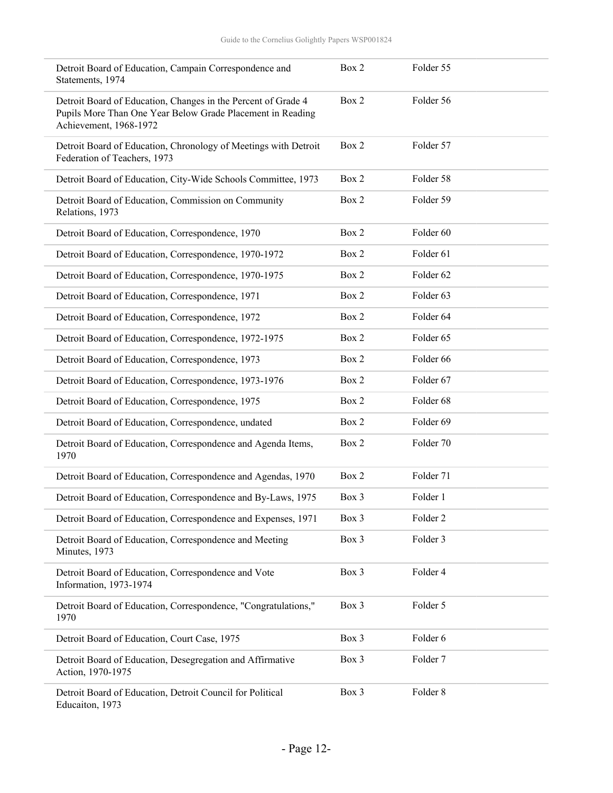| Detroit Board of Education, Campain Correspondence and<br>Statements, 1974                                                                            | Box 2 | Folder 55            |
|-------------------------------------------------------------------------------------------------------------------------------------------------------|-------|----------------------|
| Detroit Board of Education, Changes in the Percent of Grade 4<br>Pupils More Than One Year Below Grade Placement in Reading<br>Achievement, 1968-1972 | Box 2 | Folder 56            |
| Detroit Board of Education, Chronology of Meetings with Detroit<br>Federation of Teachers, 1973                                                       | Box 2 | Folder 57            |
| Detroit Board of Education, City-Wide Schools Committee, 1973                                                                                         | Box 2 | Folder 58            |
| Detroit Board of Education, Commission on Community<br>Relations, 1973                                                                                | Box 2 | Folder 59            |
| Detroit Board of Education, Correspondence, 1970                                                                                                      | Box 2 | Folder <sub>60</sub> |
| Detroit Board of Education, Correspondence, 1970-1972                                                                                                 | Box 2 | Folder 61            |
| Detroit Board of Education, Correspondence, 1970-1975                                                                                                 | Box 2 | Folder 62            |
| Detroit Board of Education, Correspondence, 1971                                                                                                      | Box 2 | Folder <sub>63</sub> |
| Detroit Board of Education, Correspondence, 1972                                                                                                      | Box 2 | Folder 64            |
| Detroit Board of Education, Correspondence, 1972-1975                                                                                                 | Box 2 | Folder <sub>65</sub> |
| Detroit Board of Education, Correspondence, 1973                                                                                                      | Box 2 | Folder 66            |
| Detroit Board of Education, Correspondence, 1973-1976                                                                                                 | Box 2 | Folder 67            |
| Detroit Board of Education, Correspondence, 1975                                                                                                      | Box 2 | Folder 68            |
| Detroit Board of Education, Correspondence, undated                                                                                                   | Box 2 | Folder <sub>69</sub> |
| Detroit Board of Education, Correspondence and Agenda Items,<br>1970                                                                                  | Box 2 | Folder 70            |
| Detroit Board of Education, Correspondence and Agendas, 1970                                                                                          | Box 2 | Folder 71            |
| Detroit Board of Education, Correspondence and By-Laws, 1975                                                                                          | Box 3 | Folder 1             |
| Detroit Board of Education, Correspondence and Expenses, 1971                                                                                         | Box 3 | Folder <sub>2</sub>  |
| Detroit Board of Education, Correspondence and Meeting<br>Minutes, 1973                                                                               | Box 3 | Folder 3             |
| Detroit Board of Education, Correspondence and Vote<br>Information, 1973-1974                                                                         | Box 3 | Folder 4             |
| Detroit Board of Education, Correspondence, "Congratulations,"<br>1970                                                                                | Box 3 | Folder 5             |
| Detroit Board of Education, Court Case, 1975                                                                                                          | Box 3 | Folder 6             |
| Detroit Board of Education, Desegregation and Affirmative<br>Action, 1970-1975                                                                        | Box 3 | Folder 7             |
| Detroit Board of Education, Detroit Council for Political<br>Educaiton, 1973                                                                          | Box 3 | Folder 8             |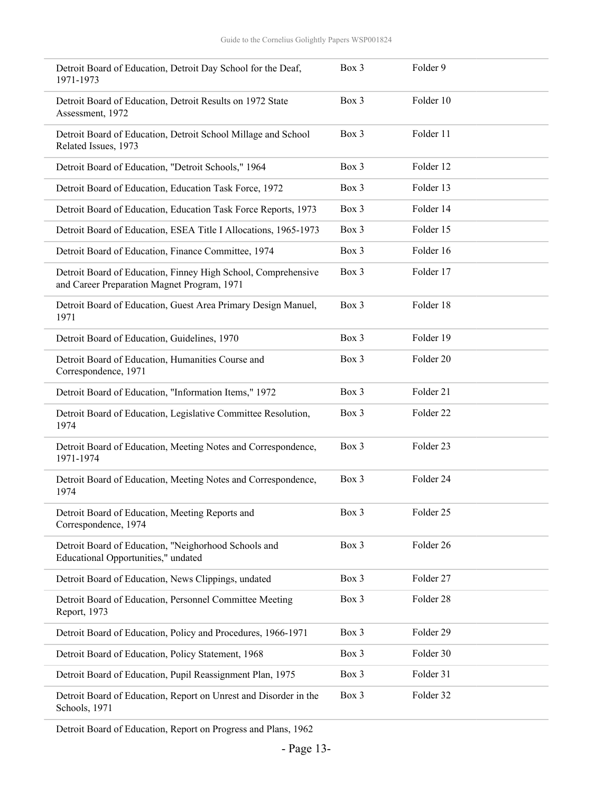| Detroit Board of Education, Detroit Day School for the Deaf,<br>1971-1973                                    | Box 3 | Folder 9  |
|--------------------------------------------------------------------------------------------------------------|-------|-----------|
| Detroit Board of Education, Detroit Results on 1972 State<br>Assessment, 1972                                | Box 3 | Folder 10 |
| Detroit Board of Education, Detroit School Millage and School<br>Related Issues, 1973                        | Box 3 | Folder 11 |
| Detroit Board of Education, "Detroit Schools," 1964                                                          | Box 3 | Folder 12 |
| Detroit Board of Education, Education Task Force, 1972                                                       | Box 3 | Folder 13 |
| Detroit Board of Education, Education Task Force Reports, 1973                                               | Box 3 | Folder 14 |
| Detroit Board of Education, ESEA Title I Allocations, 1965-1973                                              | Box 3 | Folder 15 |
| Detroit Board of Education, Finance Committee, 1974                                                          | Box 3 | Folder 16 |
| Detroit Board of Education, Finney High School, Comprehensive<br>and Career Preparation Magnet Program, 1971 | Box 3 | Folder 17 |
| Detroit Board of Education, Guest Area Primary Design Manuel,<br>1971                                        | Box 3 | Folder 18 |
| Detroit Board of Education, Guidelines, 1970                                                                 | Box 3 | Folder 19 |
| Detroit Board of Education, Humanities Course and<br>Correspondence, 1971                                    | Box 3 | Folder 20 |
| Detroit Board of Education, "Information Items," 1972                                                        | Box 3 | Folder 21 |
| Detroit Board of Education, Legislative Committee Resolution,<br>1974                                        | Box 3 | Folder 22 |
| Detroit Board of Education, Meeting Notes and Correspondence,<br>1971-1974                                   | Box 3 | Folder 23 |
| Detroit Board of Education, Meeting Notes and Correspondence,<br>1974                                        | Box 3 | Folder 24 |
| Detroit Board of Education, Meeting Reports and<br>Correspondence, 1974                                      | Box 3 | Folder 25 |
| Detroit Board of Education, "Neighorhood Schools and<br>Educational Opportunities," undated                  | Box 3 | Folder 26 |
| Detroit Board of Education, News Clippings, undated                                                          | Box 3 | Folder 27 |
| Detroit Board of Education, Personnel Committee Meeting<br>Report, 1973                                      | Box 3 | Folder 28 |
| Detroit Board of Education, Policy and Procedures, 1966-1971                                                 | Box 3 | Folder 29 |
| Detroit Board of Education, Policy Statement, 1968                                                           | Box 3 | Folder 30 |
| Detroit Board of Education, Pupil Reassignment Plan, 1975                                                    | Box 3 | Folder 31 |
| Detroit Board of Education, Report on Unrest and Disorder in the<br>Schools, 1971                            | Box 3 | Folder 32 |

Detroit Board of Education, Report on Progress and Plans, 1962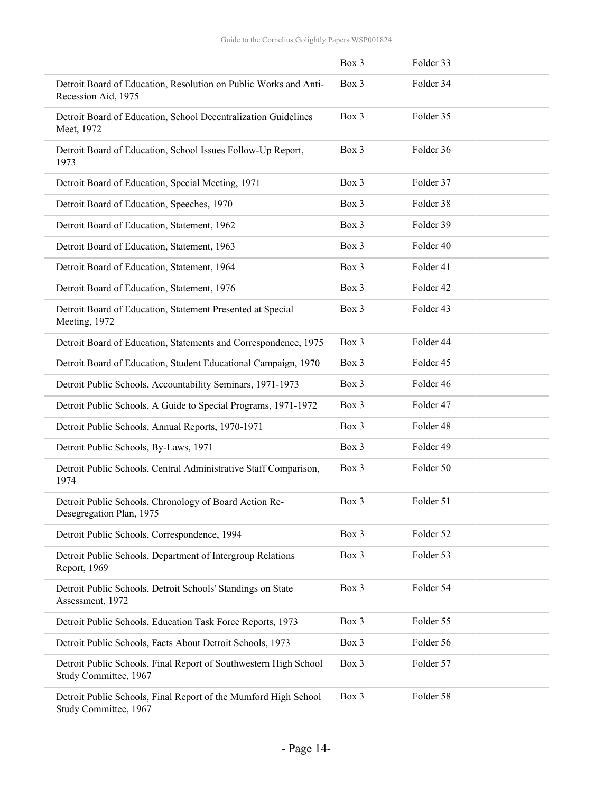|                                                                                           | Box 3 | Folder 33 |  |
|-------------------------------------------------------------------------------------------|-------|-----------|--|
| Detroit Board of Education, Resolution on Public Works and Anti-<br>Recession Aid, 1975   | Box 3 | Folder 34 |  |
| Detroit Board of Education, School Decentralization Guidelines<br>Meet, 1972              | Box 3 | Folder 35 |  |
| Detroit Board of Education, School Issues Follow-Up Report,<br>1973                       | Box 3 | Folder 36 |  |
| Detroit Board of Education, Special Meeting, 1971                                         | Box 3 | Folder 37 |  |
| Detroit Board of Education, Speeches, 1970                                                | Box 3 | Folder 38 |  |
| Detroit Board of Education, Statement, 1962                                               | Box 3 | Folder 39 |  |
| Detroit Board of Education, Statement, 1963                                               | Box 3 | Folder 40 |  |
| Detroit Board of Education, Statement, 1964                                               | Box 3 | Folder 41 |  |
| Detroit Board of Education, Statement, 1976                                               | Box 3 | Folder 42 |  |
| Detroit Board of Education, Statement Presented at Special<br>Meeting, 1972               | Box 3 | Folder 43 |  |
| Detroit Board of Education, Statements and Correspondence, 1975                           | Box 3 | Folder 44 |  |
| Detroit Board of Education, Student Educational Campaign, 1970                            | Box 3 | Folder 45 |  |
| Detroit Public Schools, Accountability Seminars, 1971-1973                                | Box 3 | Folder 46 |  |
| Detroit Public Schools, A Guide to Special Programs, 1971-1972                            | Box 3 | Folder 47 |  |
| Detroit Public Schools, Annual Reports, 1970-1971                                         | Box 3 | Folder 48 |  |
| Detroit Public Schools, By-Laws, 1971                                                     | Box 3 | Folder 49 |  |
| Detroit Public Schools, Central Administrative Staff Comparison,<br>1974                  | Box 3 | Folder 50 |  |
| Detroit Public Schools, Chronology of Board Action Re-<br>Desegregation Plan, 1975        | Box 3 | Folder 51 |  |
| Detroit Public Schools, Correspondence, 1994                                              | Box 3 | Folder 52 |  |
| Detroit Public Schools, Department of Intergroup Relations<br>Report, 1969                | Box 3 | Folder 53 |  |
| Detroit Public Schools, Detroit Schools' Standings on State<br>Assessment, 1972           | Box 3 | Folder 54 |  |
| Detroit Public Schools, Education Task Force Reports, 1973                                | Box 3 | Folder 55 |  |
| Detroit Public Schools, Facts About Detroit Schools, 1973                                 | Box 3 | Folder 56 |  |
| Detroit Public Schools, Final Report of Southwestern High School<br>Study Committee, 1967 | Box 3 | Folder 57 |  |
| Detroit Public Schools, Final Report of the Mumford High School<br>Study Committee, 1967  | Box 3 | Folder 58 |  |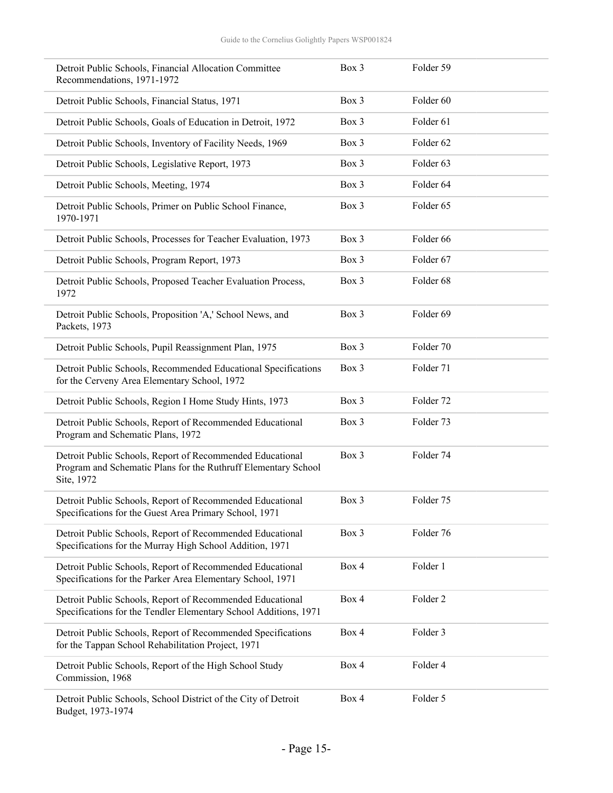| Detroit Public Schools, Financial Allocation Committee<br>Recommendations, 1971-1972                                                      | $Box$ 3 | Folder 59            |
|-------------------------------------------------------------------------------------------------------------------------------------------|---------|----------------------|
| Detroit Public Schools, Financial Status, 1971                                                                                            | Box 3   | Folder <sub>60</sub> |
| Detroit Public Schools, Goals of Education in Detroit, 1972                                                                               | Box 3   | Folder <sub>61</sub> |
| Detroit Public Schools, Inventory of Facility Needs, 1969                                                                                 | Box 3   | Folder <sub>62</sub> |
| Detroit Public Schools, Legislative Report, 1973                                                                                          | Box 3   | Folder <sub>63</sub> |
| Detroit Public Schools, Meeting, 1974                                                                                                     | Box 3   | Folder <sub>64</sub> |
| Detroit Public Schools, Primer on Public School Finance,<br>1970-1971                                                                     | Box 3   | Folder <sub>65</sub> |
| Detroit Public Schools, Processes for Teacher Evaluation, 1973                                                                            | Box 3   | Folder <sub>66</sub> |
| Detroit Public Schools, Program Report, 1973                                                                                              | Box 3   | Folder <sub>67</sub> |
| Detroit Public Schools, Proposed Teacher Evaluation Process,<br>1972                                                                      | Box 3   | Folder 68            |
| Detroit Public Schools, Proposition 'A,' School News, and<br>Packets, 1973                                                                | Box 3   | Folder <sub>69</sub> |
| Detroit Public Schools, Pupil Reassignment Plan, 1975                                                                                     | Box 3   | Folder 70            |
| Detroit Public Schools, Recommended Educational Specifications<br>for the Cerveny Area Elementary School, 1972                            | Box 3   | Folder 71            |
| Detroit Public Schools, Region I Home Study Hints, 1973                                                                                   | Box 3   | Folder <sub>72</sub> |
| Detroit Public Schools, Report of Recommended Educational<br>Program and Schematic Plans, 1972                                            | Box 3   | Folder 73            |
| Detroit Public Schools, Report of Recommended Educational<br>Program and Schematic Plans for the Ruthruff Elementary School<br>Site, 1972 | Box 3   | Folder 74            |
| Detroit Public Schools, Report of Recommended Educational<br>Specifications for the Guest Area Primary School, 1971                       | Box 3   | Folder 75            |
| Detroit Public Schools, Report of Recommended Educational<br>Specifications for the Murray High School Addition, 1971                     | Box 3   | Folder 76            |
| Detroit Public Schools, Report of Recommended Educational<br>Specifications for the Parker Area Elementary School, 1971                   | Box 4   | Folder 1             |
| Detroit Public Schools, Report of Recommended Educational<br>Specifications for the Tendler Elementary School Additions, 1971             | Box 4   | Folder <sub>2</sub>  |
| Detroit Public Schools, Report of Recommended Specifications<br>for the Tappan School Rehabilitation Project, 1971                        | Box 4   | Folder 3             |
| Detroit Public Schools, Report of the High School Study<br>Commission, 1968                                                               | Box 4   | Folder 4             |
| Detroit Public Schools, School District of the City of Detroit<br>Budget, 1973-1974                                                       | Box 4   | Folder 5             |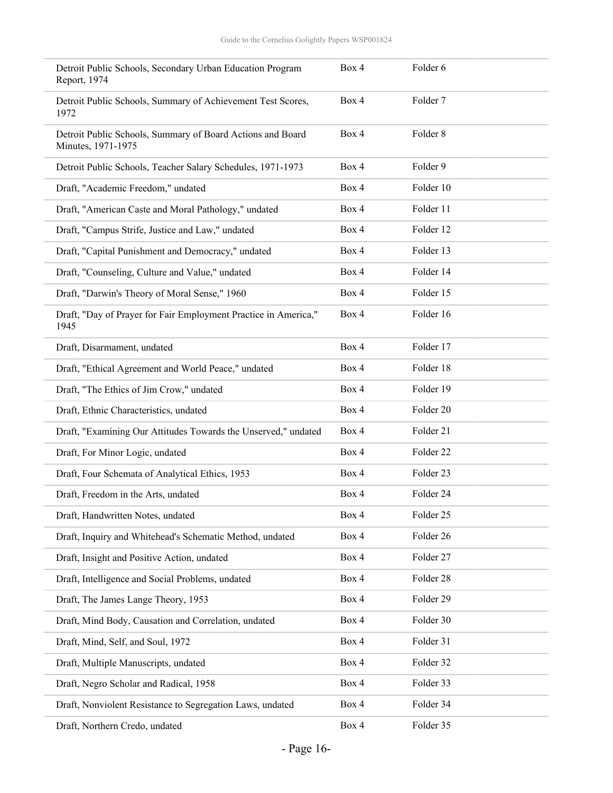| Detroit Public Schools, Secondary Urban Education Program<br>Report, 1974        | Box 4 | Folder 6  |
|----------------------------------------------------------------------------------|-------|-----------|
| Detroit Public Schools, Summary of Achievement Test Scores,<br>1972              | Box 4 | Folder 7  |
| Detroit Public Schools, Summary of Board Actions and Board<br>Minutes, 1971-1975 | Box 4 | Folder 8  |
| Detroit Public Schools, Teacher Salary Schedules, 1971-1973                      | Box 4 | Folder 9  |
| Draft, "Academic Freedom," undated                                               | Box 4 | Folder 10 |
| Draft, "American Caste and Moral Pathology," undated                             | Box 4 | Folder 11 |
| Draft, "Campus Strife, Justice and Law," undated                                 | Box 4 | Folder 12 |
| Draft, "Capital Punishment and Democracy," undated                               | Box 4 | Folder 13 |
| Draft, "Counseling, Culture and Value," undated                                  | Box 4 | Folder 14 |
| Draft, "Darwin's Theory of Moral Sense," 1960                                    | Box 4 | Folder 15 |
| Draft, "Day of Prayer for Fair Employment Practice in America,"<br>1945          | Box 4 | Folder 16 |
| Draft, Disarmament, undated                                                      | Box 4 | Folder 17 |
| Draft, "Ethical Agreement and World Peace," undated                              | Box 4 | Folder 18 |
| Draft, "The Ethics of Jim Crow," undated                                         | Box 4 | Folder 19 |
| Draft, Ethnic Characteristics, undated                                           | Box 4 | Folder 20 |
| Draft, "Examining Our Attitudes Towards the Unserved," undated                   | Box 4 | Folder 21 |
| Draft, For Minor Logic, undated                                                  | Box 4 | Folder 22 |
| Draft, Four Schemata of Analytical Ethics, 1953                                  | Box 4 | Folder 23 |
| Draft, Freedom in the Arts, undated                                              | Box 4 | Folder 24 |
| Draft, Handwritten Notes, undated                                                | Box 4 | Folder 25 |
| Draft, Inquiry and Whitehead's Schematic Method, undated                         | Box 4 | Folder 26 |
| Draft, Insight and Positive Action, undated                                      | Box 4 | Folder 27 |
| Draft, Intelligence and Social Problems, undated                                 | Box 4 | Folder 28 |
| Draft, The James Lange Theory, 1953                                              | Box 4 | Folder 29 |
| Draft, Mind Body, Causation and Correlation, undated                             | Box 4 | Folder 30 |
| Draft, Mind, Self, and Soul, 1972                                                | Box 4 | Folder 31 |
| Draft, Multiple Manuscripts, undated                                             | Box 4 | Folder 32 |
| Draft, Negro Scholar and Radical, 1958                                           | Box 4 | Folder 33 |
| Draft, Nonviolent Resistance to Segregation Laws, undated                        | Box 4 | Folder 34 |
| Draft, Northern Credo, undated                                                   | Box 4 | Folder 35 |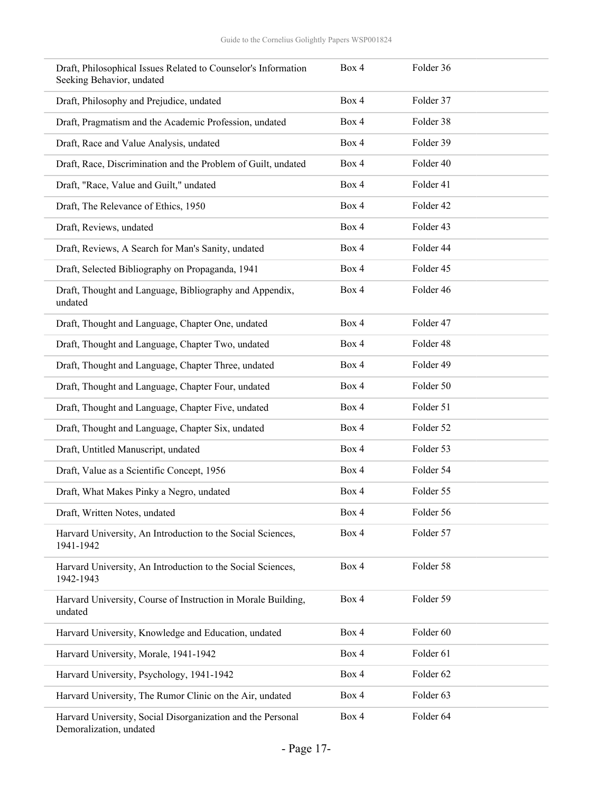| Draft, Philosophical Issues Related to Counselor's Information<br>Seeking Behavior, undated | Box 4 | Folder 36 |  |
|---------------------------------------------------------------------------------------------|-------|-----------|--|
| Draft, Philosophy and Prejudice, undated                                                    | Box 4 | Folder 37 |  |
| Draft, Pragmatism and the Academic Profession, undated                                      | Box 4 | Folder 38 |  |
| Draft, Race and Value Analysis, undated                                                     | Box 4 | Folder 39 |  |
| Draft, Race, Discrimination and the Problem of Guilt, undated                               | Box 4 | Folder 40 |  |
| Draft, "Race, Value and Guilt," undated                                                     | Box 4 | Folder 41 |  |
| Draft, The Relevance of Ethics, 1950                                                        | Box 4 | Folder 42 |  |
| Draft, Reviews, undated                                                                     | Box 4 | Folder 43 |  |
| Draft, Reviews, A Search for Man's Sanity, undated                                          | Box 4 | Folder 44 |  |
| Draft, Selected Bibliography on Propaganda, 1941                                            | Box 4 | Folder 45 |  |
| Draft, Thought and Language, Bibliography and Appendix,<br>undated                          | Box 4 | Folder 46 |  |
| Draft, Thought and Language, Chapter One, undated                                           | Box 4 | Folder 47 |  |
| Draft, Thought and Language, Chapter Two, undated                                           | Box 4 | Folder 48 |  |
| Draft, Thought and Language, Chapter Three, undated                                         | Box 4 | Folder 49 |  |
| Draft, Thought and Language, Chapter Four, undated                                          | Box 4 | Folder 50 |  |
| Draft, Thought and Language, Chapter Five, undated                                          | Box 4 | Folder 51 |  |
| Draft, Thought and Language, Chapter Six, undated                                           | Box 4 | Folder 52 |  |
| Draft, Untitled Manuscript, undated                                                         | Box 4 | Folder 53 |  |
| Draft, Value as a Scientific Concept, 1956                                                  | Box 4 | Folder 54 |  |
| Draft, What Makes Pinky a Negro, undated                                                    | Box 4 | Folder 55 |  |
| Draft, Written Notes, undated                                                               | Box 4 | Folder 56 |  |
| Harvard University, An Introduction to the Social Sciences,<br>1941-1942                    | Box 4 | Folder 57 |  |
| Harvard University, An Introduction to the Social Sciences,<br>1942-1943                    | Box 4 | Folder 58 |  |
| Harvard University, Course of Instruction in Morale Building,<br>undated                    | Box 4 | Folder 59 |  |
| Harvard University, Knowledge and Education, undated                                        | Box 4 | Folder 60 |  |
| Harvard University, Morale, 1941-1942                                                       | Box 4 | Folder 61 |  |
| Harvard University, Psychology, 1941-1942                                                   | Box 4 | Folder 62 |  |
| Harvard University, The Rumor Clinic on the Air, undated                                    | Box 4 | Folder 63 |  |
| Harvard University, Social Disorganization and the Personal<br>Demoralization, undated      | Box 4 | Folder 64 |  |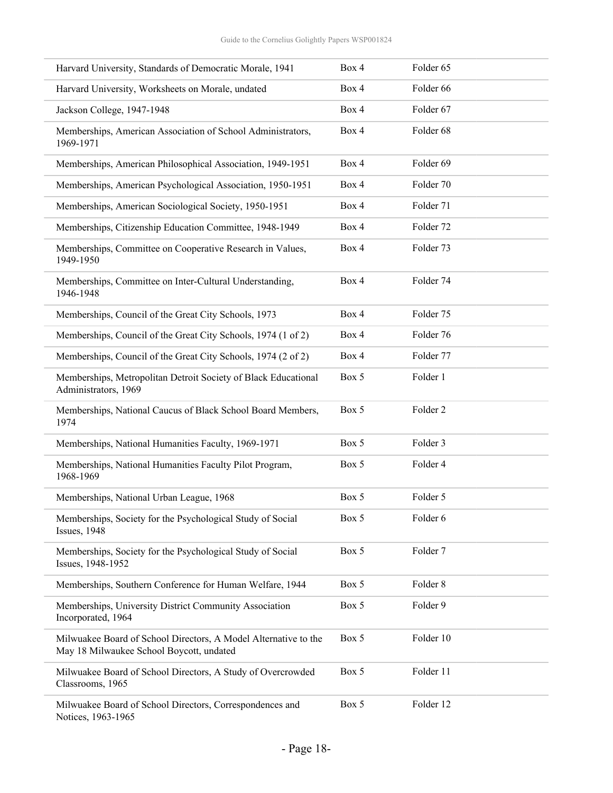| Harvard University, Standards of Democratic Morale, 1941                                                    | Box 4 | Folder 65           |
|-------------------------------------------------------------------------------------------------------------|-------|---------------------|
| Harvard University, Worksheets on Morale, undated                                                           | Box 4 | Folder 66           |
| Jackson College, 1947-1948                                                                                  | Box 4 | Folder 67           |
| Memberships, American Association of School Administrators,<br>1969-1971                                    | Box 4 | Folder 68           |
| Memberships, American Philosophical Association, 1949-1951                                                  | Box 4 | Folder 69           |
| Memberships, American Psychological Association, 1950-1951                                                  | Box 4 | Folder 70           |
| Memberships, American Sociological Society, 1950-1951                                                       | Box 4 | Folder 71           |
| Memberships, Citizenship Education Committee, 1948-1949                                                     | Box 4 | Folder 72           |
| Memberships, Committee on Cooperative Research in Values,<br>1949-1950                                      | Box 4 | Folder 73           |
| Memberships, Committee on Inter-Cultural Understanding,<br>1946-1948                                        | Box 4 | Folder 74           |
| Memberships, Council of the Great City Schools, 1973                                                        | Box 4 | Folder 75           |
| Memberships, Council of the Great City Schools, 1974 (1 of 2)                                               | Box 4 | Folder 76           |
| Memberships, Council of the Great City Schools, 1974 (2 of 2)                                               | Box 4 | Folder 77           |
| Memberships, Metropolitan Detroit Society of Black Educational<br>Administrators, 1969                      | Box 5 | Folder 1            |
| Memberships, National Caucus of Black School Board Members,<br>1974                                         | Box 5 | Folder <sub>2</sub> |
| Memberships, National Humanities Faculty, 1969-1971                                                         | Box 5 | Folder 3            |
| Memberships, National Humanities Faculty Pilot Program,<br>1968-1969                                        | Box 5 | Folder 4            |
| Memberships, National Urban League, 1968                                                                    | Box 5 | Folder 5            |
| Memberships, Society for the Psychological Study of Social<br><b>Issues</b> , 1948                          | Box 5 | Folder 6            |
| Memberships, Society for the Psychological Study of Social<br>Issues, 1948-1952                             | Box 5 | Folder 7            |
| Memberships, Southern Conference for Human Welfare, 1944                                                    | Box 5 | Folder 8            |
| Memberships, University District Community Association<br>Incorporated, 1964                                | Box 5 | Folder 9            |
| Milwuakee Board of School Directors, A Model Alternative to the<br>May 18 Milwaukee School Boycott, undated | Box 5 | Folder 10           |
| Milwuakee Board of School Directors, A Study of Overcrowded<br>Classrooms, 1965                             | Box 5 | Folder 11           |
| Milwuakee Board of School Directors, Correspondences and<br>Notices, 1963-1965                              | Box 5 | Folder 12           |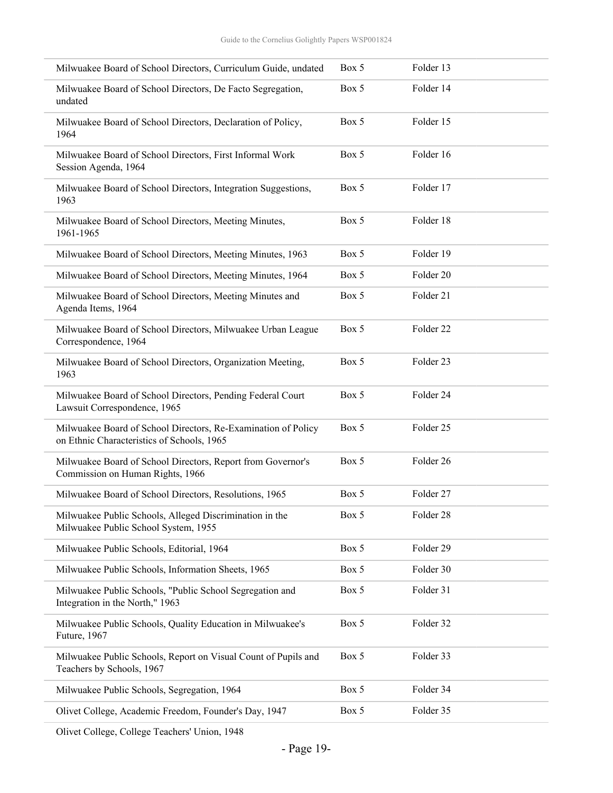| Milwuakee Board of School Directors, Curriculum Guide, undated                                              | Box 5 | Folder 13            |
|-------------------------------------------------------------------------------------------------------------|-------|----------------------|
| Milwuakee Board of School Directors, De Facto Segregation,<br>undated                                       | Box 5 | Folder 14            |
| Milwuakee Board of School Directors, Declaration of Policy,<br>1964                                         | Box 5 | Folder 15            |
| Milwuakee Board of School Directors, First Informal Work<br>Session Agenda, 1964                            | Box 5 | Folder 16            |
| Milwuakee Board of School Directors, Integration Suggestions,<br>1963                                       | Box 5 | Folder 17            |
| Milwuakee Board of School Directors, Meeting Minutes,<br>1961-1965                                          | Box 5 | Folder 18            |
| Milwuakee Board of School Directors, Meeting Minutes, 1963                                                  | Box 5 | Folder 19            |
| Milwuakee Board of School Directors, Meeting Minutes, 1964                                                  | Box 5 | Folder 20            |
| Milwuakee Board of School Directors, Meeting Minutes and<br>Agenda Items, 1964                              | Box 5 | Folder 21            |
| Milwuakee Board of School Directors, Milwuakee Urban League<br>Correspondence, 1964                         | Box 5 | Folder <sub>22</sub> |
| Milwuakee Board of School Directors, Organization Meeting,<br>1963                                          | Box 5 | Folder 23            |
| Milwuakee Board of School Directors, Pending Federal Court<br>Lawsuit Correspondence, 1965                  | Box 5 | Folder 24            |
| Milwuakee Board of School Directors, Re-Examination of Policy<br>on Ethnic Characteristics of Schools, 1965 | Box 5 | Folder 25            |
| Milwuakee Board of School Directors, Report from Governor's<br>Commission on Human Rights, 1966             | Box 5 | Folder 26            |
| Milwuakee Board of School Directors, Resolutions, 1965                                                      | Box 5 | Folder 27            |
| Milwuakee Public Schools, Alleged Discrimination in the<br>Milwuakee Public School System, 1955             | Box 5 | Folder 28            |
| Milwuakee Public Schools, Editorial, 1964                                                                   | Box 5 | Folder 29            |
| Milwuakee Public Schools, Information Sheets, 1965                                                          | Box 5 | Folder 30            |
| Milwuakee Public Schools, "Public School Segregation and<br>Integration in the North," 1963                 | Box 5 | Folder 31            |
| Milwuakee Public Schools, Quality Education in Milwuakee's<br>Future, 1967                                  | Box 5 | Folder 32            |
| Milwuakee Public Schools, Report on Visual Count of Pupils and<br>Teachers by Schools, 1967                 | Box 5 | Folder 33            |
| Milwuakee Public Schools, Segregation, 1964                                                                 | Box 5 | Folder 34            |
| Olivet College, Academic Freedom, Founder's Day, 1947                                                       | Box 5 | Folder 35            |
|                                                                                                             |       |                      |

Olivet College, College Teachers' Union, 1948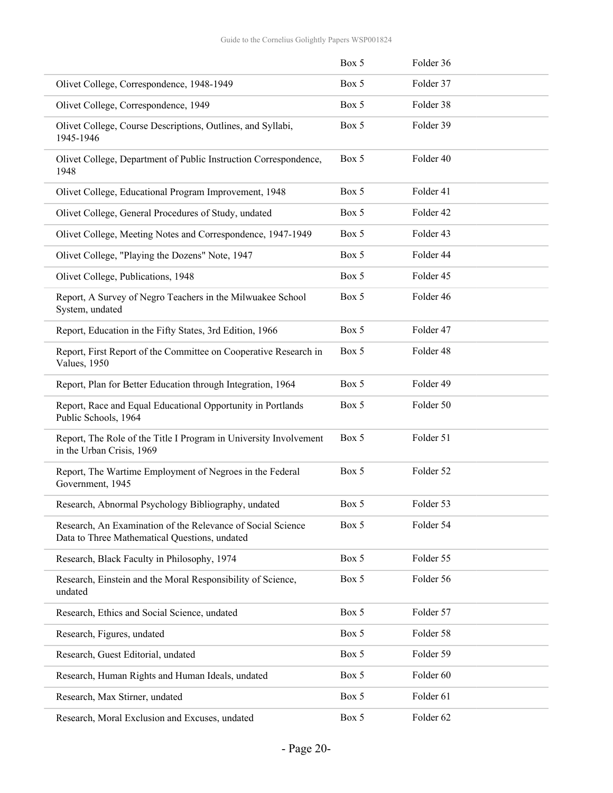|                                                                                                              | Box 5 | Folder 36 |
|--------------------------------------------------------------------------------------------------------------|-------|-----------|
| Olivet College, Correspondence, 1948-1949                                                                    | Box 5 | Folder 37 |
| Olivet College, Correspondence, 1949                                                                         | Box 5 | Folder 38 |
| Olivet College, Course Descriptions, Outlines, and Syllabi,<br>1945-1946                                     | Box 5 | Folder 39 |
| Olivet College, Department of Public Instruction Correspondence,<br>1948                                     | Box 5 | Folder 40 |
| Olivet College, Educational Program Improvement, 1948                                                        | Box 5 | Folder 41 |
| Olivet College, General Procedures of Study, undated                                                         | Box 5 | Folder 42 |
| Olivet College, Meeting Notes and Correspondence, 1947-1949                                                  | Box 5 | Folder 43 |
| Olivet College, "Playing the Dozens" Note, 1947                                                              | Box 5 | Folder 44 |
| Olivet College, Publications, 1948                                                                           | Box 5 | Folder 45 |
| Report, A Survey of Negro Teachers in the Milwuakee School<br>System, undated                                | Box 5 | Folder 46 |
| Report, Education in the Fifty States, 3rd Edition, 1966                                                     | Box 5 | Folder 47 |
| Report, First Report of the Committee on Cooperative Research in<br>Values, 1950                             | Box 5 | Folder 48 |
| Report, Plan for Better Education through Integration, 1964                                                  | Box 5 | Folder 49 |
| Report, Race and Equal Educational Opportunity in Portlands<br>Public Schools, 1964                          | Box 5 | Folder 50 |
| Report, The Role of the Title I Program in University Involvement<br>in the Urban Crisis, 1969               | Box 5 | Folder 51 |
| Report, The Wartime Employment of Negroes in the Federal<br>Government, 1945                                 | Box 5 | Folder 52 |
| Research, Abnormal Psychology Bibliography, undated                                                          | Box 5 | Folder 53 |
| Research, An Examination of the Relevance of Social Science<br>Data to Three Mathematical Questions, undated | Box 5 | Folder 54 |
| Research, Black Faculty in Philosophy, 1974                                                                  | Box 5 | Folder 55 |
| Research, Einstein and the Moral Responsibility of Science,<br>undated                                       | Box 5 | Folder 56 |
| Research, Ethics and Social Science, undated                                                                 | Box 5 | Folder 57 |
| Research, Figures, undated                                                                                   | Box 5 | Folder 58 |
| Research, Guest Editorial, undated                                                                           | Box 5 | Folder 59 |
| Research, Human Rights and Human Ideals, undated                                                             | Box 5 | Folder 60 |
| Research, Max Stirner, undated                                                                               | Box 5 | Folder 61 |
| Research, Moral Exclusion and Excuses, undated                                                               | Box 5 | Folder 62 |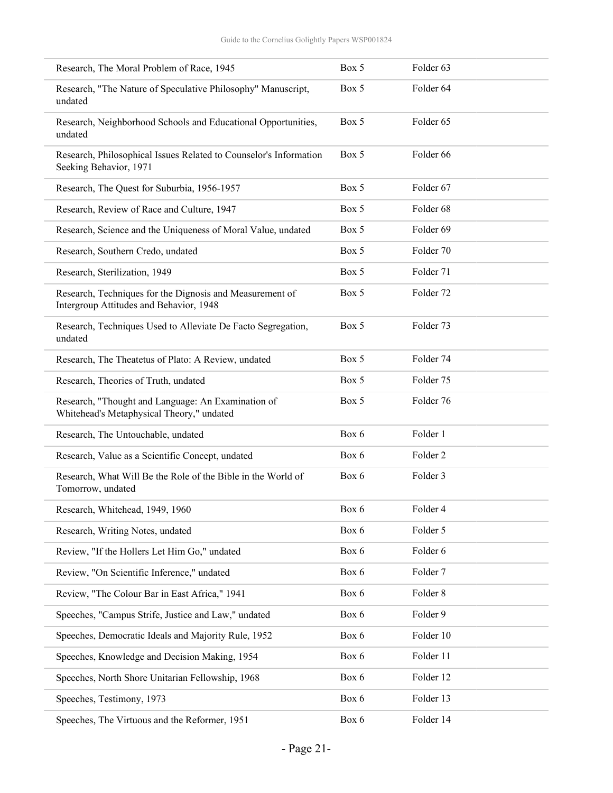| Research, The Moral Problem of Race, 1945                                                           | Box 5 | Folder <sub>63</sub> |
|-----------------------------------------------------------------------------------------------------|-------|----------------------|
| Research, "The Nature of Speculative Philosophy" Manuscript,<br>undated                             | Box 5 | Folder <sub>64</sub> |
| Research, Neighborhood Schools and Educational Opportunities,<br>undated                            | Box 5 | Folder <sub>65</sub> |
| Research, Philosophical Issues Related to Counselor's Information<br>Seeking Behavior, 1971         | Box 5 | Folder <sub>66</sub> |
| Research, The Quest for Suburbia, 1956-1957                                                         | Box 5 | Folder <sub>67</sub> |
| Research, Review of Race and Culture, 1947                                                          | Box 5 | Folder <sub>68</sub> |
| Research, Science and the Uniqueness of Moral Value, undated                                        | Box 5 | Folder <sub>69</sub> |
| Research, Southern Credo, undated                                                                   | Box 5 | Folder 70            |
| Research, Sterilization, 1949                                                                       | Box 5 | Folder 71            |
| Research, Techniques for the Dignosis and Measurement of<br>Intergroup Attitudes and Behavior, 1948 | Box 5 | Folder 72            |
| Research, Techniques Used to Alleviate De Facto Segregation,<br>undated                             | Box 5 | Folder 73            |
| Research, The Theatetus of Plato: A Review, undated                                                 | Box 5 | Folder 74            |
| Research, Theories of Truth, undated                                                                | Box 5 | Folder 75            |
| Research, "Thought and Language: An Examination of<br>Whitehead's Metaphysical Theory," undated     | Box 5 | Folder 76            |
| Research, The Untouchable, undated                                                                  | Box 6 | Folder 1             |
| Research, Value as a Scientific Concept, undated                                                    | Box 6 | Folder 2             |
| Research, What Will Be the Role of the Bible in the World of<br>Tomorrow, undated                   | Box 6 | Folder 3             |
| Research, Whitehead, 1949, 1960                                                                     | Box 6 | Folder 4             |
| Research, Writing Notes, undated                                                                    | Box 6 | Folder 5             |
| Review, "If the Hollers Let Him Go," undated                                                        | Box 6 | Folder 6             |
| Review, "On Scientific Inference," undated                                                          | Box 6 | Folder 7             |
| Review, "The Colour Bar in East Africa," 1941                                                       | Box 6 | Folder 8             |
| Speeches, "Campus Strife, Justice and Law," undated                                                 | Box 6 | Folder 9             |
| Speeches, Democratic Ideals and Majority Rule, 1952                                                 | Box 6 | Folder 10            |
| Speeches, Knowledge and Decision Making, 1954                                                       | Box 6 | Folder 11            |
| Speeches, North Shore Unitarian Fellowship, 1968                                                    | Box 6 | Folder 12            |
| Speeches, Testimony, 1973                                                                           | Box 6 | Folder 13            |
| Speeches, The Virtuous and the Reformer, 1951                                                       | Box 6 | Folder 14            |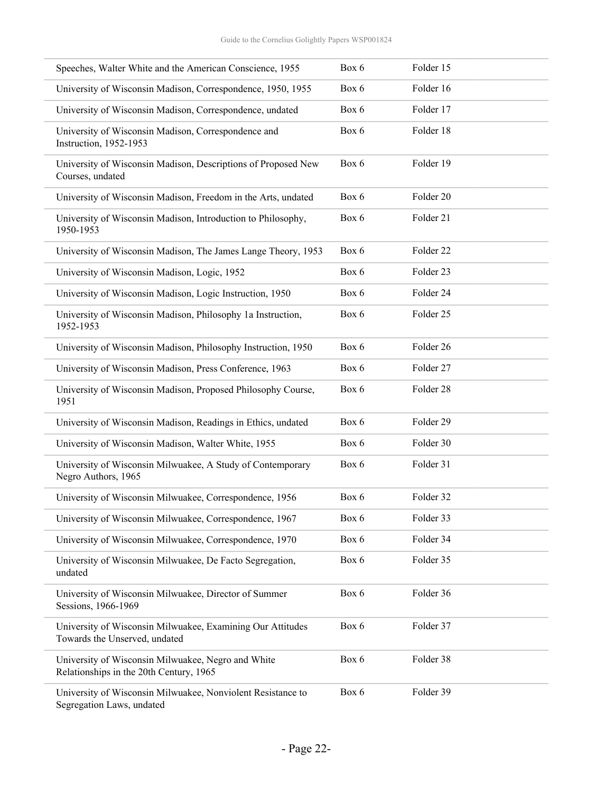| Speeches, Walter White and the American Conscience, 1955                                      | Box 6 | Folder 15 |
|-----------------------------------------------------------------------------------------------|-------|-----------|
| University of Wisconsin Madison, Correspondence, 1950, 1955                                   | Box 6 | Folder 16 |
| University of Wisconsin Madison, Correspondence, undated                                      | Box 6 | Folder 17 |
| University of Wisconsin Madison, Correspondence and<br>Instruction, 1952-1953                 | Box 6 | Folder 18 |
| University of Wisconsin Madison, Descriptions of Proposed New<br>Courses, undated             | Box 6 | Folder 19 |
| University of Wisconsin Madison, Freedom in the Arts, undated                                 | Box 6 | Folder 20 |
| University of Wisconsin Madison, Introduction to Philosophy,<br>1950-1953                     | Box 6 | Folder 21 |
| University of Wisconsin Madison, The James Lange Theory, 1953                                 | Box 6 | Folder 22 |
| University of Wisconsin Madison, Logic, 1952                                                  | Box 6 | Folder 23 |
| University of Wisconsin Madison, Logic Instruction, 1950                                      | Box 6 | Folder 24 |
| University of Wisconsin Madison, Philosophy 1a Instruction,<br>1952-1953                      | Box 6 | Folder 25 |
| University of Wisconsin Madison, Philosophy Instruction, 1950                                 | Box 6 | Folder 26 |
| University of Wisconsin Madison, Press Conference, 1963                                       | Box 6 | Folder 27 |
| University of Wisconsin Madison, Proposed Philosophy Course,<br>1951                          | Box 6 | Folder 28 |
| University of Wisconsin Madison, Readings in Ethics, undated                                  | Box 6 | Folder 29 |
| University of Wisconsin Madison, Walter White, 1955                                           | Box 6 | Folder 30 |
| University of Wisconsin Milwuakee, A Study of Contemporary<br>Negro Authors, 1965             | Box 6 | Folder 31 |
| University of Wisconsin Milwuakee, Correspondence, 1956                                       | Box 6 | Folder 32 |
| University of Wisconsin Milwuakee, Correspondence, 1967                                       | Box 6 | Folder 33 |
| University of Wisconsin Milwuakee, Correspondence, 1970                                       | Box 6 | Folder 34 |
| University of Wisconsin Milwuakee, De Facto Segregation,<br>undated                           | Box 6 | Folder 35 |
| University of Wisconsin Milwuakee, Director of Summer<br>Sessions, 1966-1969                  | Box 6 | Folder 36 |
| University of Wisconsin Milwuakee, Examining Our Attitudes<br>Towards the Unserved, undated   | Box 6 | Folder 37 |
| University of Wisconsin Milwuakee, Negro and White<br>Relationships in the 20th Century, 1965 | Box 6 | Folder 38 |
| University of Wisconsin Milwuakee, Nonviolent Resistance to<br>Segregation Laws, undated      | Box 6 | Folder 39 |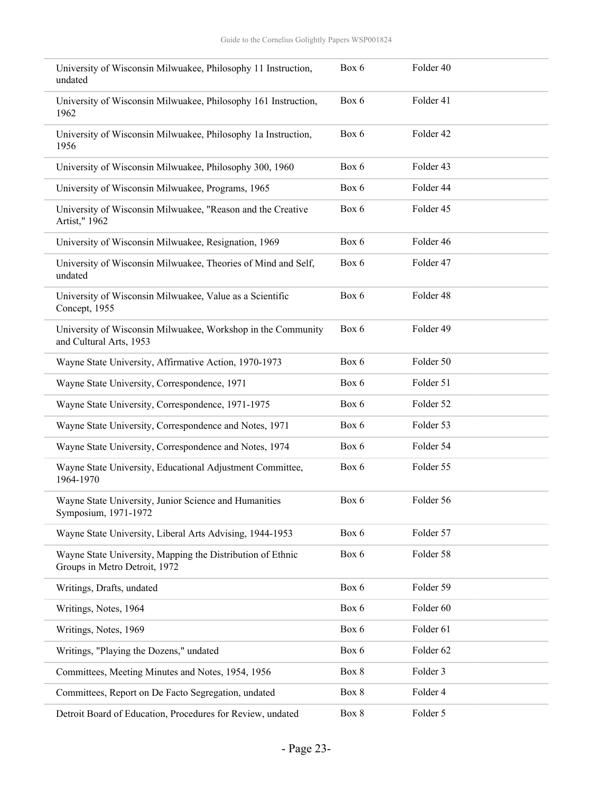| University of Wisconsin Milwuakee, Philosophy 11 Instruction,<br>undated                    | Box 6 | Folder 40 |
|---------------------------------------------------------------------------------------------|-------|-----------|
| University of Wisconsin Milwuakee, Philosophy 161 Instruction,<br>1962                      | Box 6 | Folder 41 |
| University of Wisconsin Milwuakee, Philosophy 1a Instruction,<br>1956                       | Box 6 | Folder 42 |
| University of Wisconsin Milwuakee, Philosophy 300, 1960                                     | Box 6 | Folder 43 |
| University of Wisconsin Milwuakee, Programs, 1965                                           | Box 6 | Folder 44 |
| University of Wisconsin Milwuakee, "Reason and the Creative<br>Artist," 1962                | Box 6 | Folder 45 |
| University of Wisconsin Milwuakee, Resignation, 1969                                        | Box 6 | Folder 46 |
| University of Wisconsin Milwuakee, Theories of Mind and Self,<br>undated                    | Box 6 | Folder 47 |
| University of Wisconsin Milwuakee, Value as a Scientific<br>Concept, 1955                   | Box 6 | Folder 48 |
| University of Wisconsin Milwuakee, Workshop in the Community<br>and Cultural Arts, 1953     | Box 6 | Folder 49 |
| Wayne State University, Affirmative Action, 1970-1973                                       | Box 6 | Folder 50 |
| Wayne State University, Correspondence, 1971                                                | Box 6 | Folder 51 |
| Wayne State University, Correspondence, 1971-1975                                           | Box 6 | Folder 52 |
| Wayne State University, Correspondence and Notes, 1971                                      | Box 6 | Folder 53 |
| Wayne State University, Correspondence and Notes, 1974                                      | Box 6 | Folder 54 |
| Wayne State University, Educational Adjustment Committee,<br>1964-1970                      | Box 6 | Folder 55 |
| Wayne State University, Junior Science and Humanities<br>Symposium, 1971-1972               | Box 6 | Folder 56 |
| Wayne State University, Liberal Arts Advising, 1944-1953                                    | Box 6 | Folder 57 |
| Wayne State University, Mapping the Distribution of Ethnic<br>Groups in Metro Detroit, 1972 | Box 6 | Folder 58 |
| Writings, Drafts, undated                                                                   | Box 6 | Folder 59 |
| Writings, Notes, 1964                                                                       | Box 6 | Folder 60 |
| Writings, Notes, 1969                                                                       | Box 6 | Folder 61 |
| Writings, "Playing the Dozens," undated                                                     | Box 6 | Folder 62 |
| Committees, Meeting Minutes and Notes, 1954, 1956                                           | Box 8 | Folder 3  |
| Committees, Report on De Facto Segregation, undated                                         | Box 8 | Folder 4  |
| Detroit Board of Education, Procedures for Review, undated                                  | Box 8 | Folder 5  |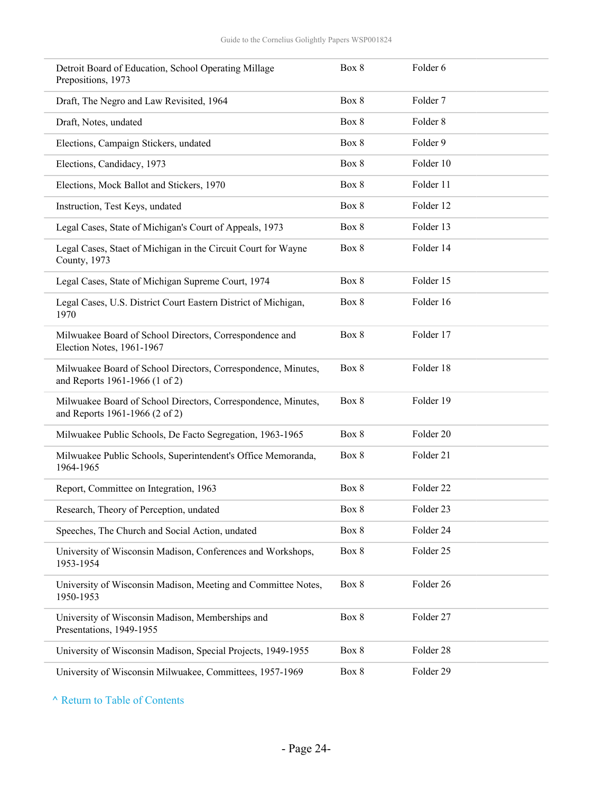| Detroit Board of Education, School Operating Millage<br>Prepositions, 1973                      | Box 8 | Folder 6            |  |
|-------------------------------------------------------------------------------------------------|-------|---------------------|--|
| Draft, The Negro and Law Revisited, 1964                                                        | Box 8 | Folder <sub>7</sub> |  |
| Draft, Notes, undated                                                                           | Box 8 | Folder <sub>8</sub> |  |
| Elections, Campaign Stickers, undated                                                           | Box 8 | Folder 9            |  |
| Elections, Candidacy, 1973                                                                      | Box 8 | Folder 10           |  |
| Elections, Mock Ballot and Stickers, 1970                                                       | Box 8 | Folder 11           |  |
| Instruction, Test Keys, undated                                                                 | Box 8 | Folder 12           |  |
| Legal Cases, State of Michigan's Court of Appeals, 1973                                         | Box 8 | Folder 13           |  |
| Legal Cases, Staet of Michigan in the Circuit Court for Wayne<br>County, 1973                   | Box 8 | Folder 14           |  |
| Legal Cases, State of Michigan Supreme Court, 1974                                              | Box 8 | Folder 15           |  |
| Legal Cases, U.S. District Court Eastern District of Michigan,<br>1970                          | Box 8 | Folder 16           |  |
| Milwuakee Board of School Directors, Correspondence and<br>Election Notes, 1961-1967            | Box 8 | Folder 17           |  |
| Milwuakee Board of School Directors, Correspondence, Minutes,<br>and Reports 1961-1966 (1 of 2) | Box 8 | Folder 18           |  |
| Milwuakee Board of School Directors, Correspondence, Minutes,<br>and Reports 1961-1966 (2 of 2) | Box 8 | Folder 19           |  |
| Milwuakee Public Schools, De Facto Segregation, 1963-1965                                       | Box 8 | Folder 20           |  |
| Milwuakee Public Schools, Superintendent's Office Memoranda,<br>1964-1965                       | Box 8 | Folder 21           |  |
| Report, Committee on Integration, 1963                                                          | Box 8 | Folder 22           |  |
| Research, Theory of Perception, undated                                                         | Box 8 | Folder 23           |  |
| Speeches, The Church and Social Action, undated                                                 | Box 8 | Folder 24           |  |
| University of Wisconsin Madison, Conferences and Workshops,<br>1953-1954                        | Box 8 | Folder 25           |  |
| University of Wisconsin Madison, Meeting and Committee Notes,<br>1950-1953                      | Box 8 | Folder 26           |  |
| University of Wisconsin Madison, Memberships and<br>Presentations, 1949-1955                    | Box 8 | Folder 27           |  |
| University of Wisconsin Madison, Special Projects, 1949-1955                                    | Box 8 | Folder 28           |  |
| University of Wisconsin Milwuakee, Committees, 1957-1969                                        | Box 8 | Folder 29           |  |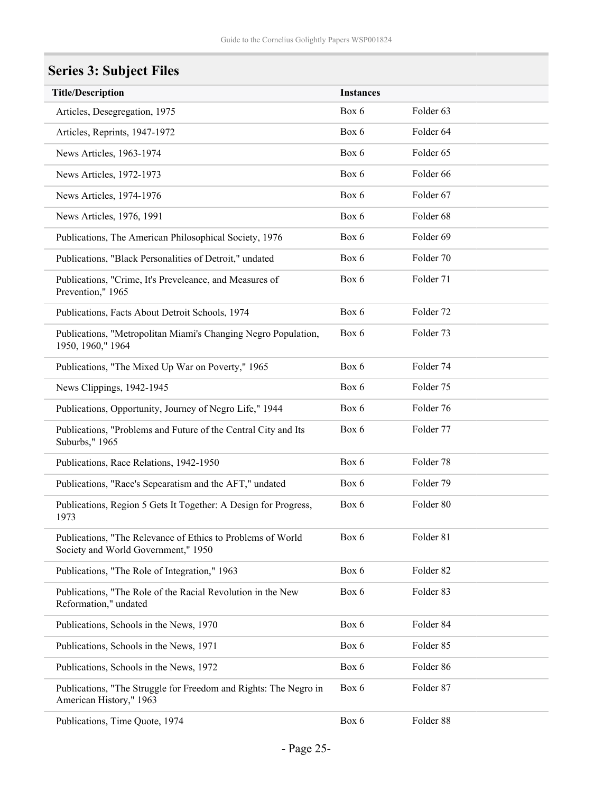# <span id="page-24-0"></span>**Series 3: Subject Files**

| <b>Title/Description</b>                                                                           | <b>Instances</b> |                      |  |  |
|----------------------------------------------------------------------------------------------------|------------------|----------------------|--|--|
| Articles, Desegregation, 1975                                                                      | Box 6            | Folder 63            |  |  |
| Articles, Reprints, 1947-1972                                                                      | Box 6            | Folder <sub>64</sub> |  |  |
| News Articles, 1963-1974                                                                           | Box 6            | Folder 65            |  |  |
| News Articles, 1972-1973                                                                           | Box 6            | Folder 66            |  |  |
| News Articles, 1974-1976                                                                           | Box 6            | Folder 67            |  |  |
| News Articles, 1976, 1991                                                                          | Box 6            | Folder 68            |  |  |
| Publications, The American Philosophical Society, 1976                                             | Box 6            | Folder 69            |  |  |
| Publications, "Black Personalities of Detroit," undated                                            | Box 6            | Folder 70            |  |  |
| Publications, "Crime, It's Preveleance, and Measures of<br>Prevention," 1965                       | Box 6            | Folder 71            |  |  |
| Publications, Facts About Detroit Schools, 1974                                                    | Box 6            | Folder 72            |  |  |
| Publications, "Metropolitan Miami's Changing Negro Population,<br>1950, 1960," 1964                | Box 6            | Folder 73            |  |  |
| Publications, "The Mixed Up War on Poverty," 1965                                                  | Box 6            | Folder 74            |  |  |
| News Clippings, 1942-1945                                                                          | Box 6            | Folder 75            |  |  |
| Publications, Opportunity, Journey of Negro Life," 1944                                            | Box 6            | Folder 76            |  |  |
| Publications, "Problems and Future of the Central City and Its<br>Suburbs," 1965                   | Box 6            | Folder 77            |  |  |
| Publications, Race Relations, 1942-1950                                                            | Box 6            | Folder 78            |  |  |
| Publications, "Race's Sepearatism and the AFT," undated                                            | Box 6            | Folder 79            |  |  |
| Publications, Region 5 Gets It Together: A Design for Progress,<br>1973                            | Box 6            | Folder 80            |  |  |
| Publications, "The Relevance of Ethics to Problems of World<br>Society and World Government," 1950 | Box 6            | Folder 81            |  |  |
| Publications, "The Role of Integration," 1963                                                      | Box 6            | Folder <sub>82</sub> |  |  |
| Publications, "The Role of the Racial Revolution in the New<br>Reformation," undated               | Box 6            | Folder 83            |  |  |
| Publications, Schools in the News, 1970                                                            | Box 6            | Folder 84            |  |  |
| Publications, Schools in the News, 1971                                                            | Box 6            | Folder 85            |  |  |
| Publications, Schools in the News, 1972                                                            | Box 6            | Folder 86            |  |  |
| Publications, "The Struggle for Freedom and Rights: The Negro in<br>American History," 1963        | Box 6            | Folder 87            |  |  |
| Publications, Time Quote, 1974                                                                     | Box 6            | Folder 88            |  |  |